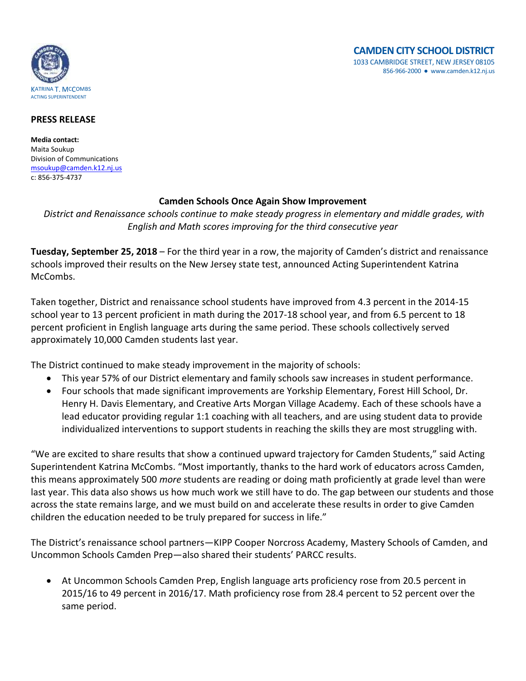

## **PRESS RELEASE**

**Media contact:** Maita Soukup Division of Communications [msoukup@camden.k12.nj.us](mailto:msoukup@camden.k12.nj.us) c: 856-375-4737

## **Camden Schools Once Again Show Improvement**

*District and Renaissance schools continue to make steady progress in elementary and middle grades, with English and Math scores improving for the third consecutive year*

**Tuesday, September 25, 2018** – For the third year in a row, the majority of Camden's district and renaissance schools improved their results on the New Jersey state test, announced Acting Superintendent Katrina McCombs.

Taken together, District and renaissance school students have improved from 4.3 percent in the 2014-15 school year to 13 percent proficient in math during the 2017-18 school year, and from 6.5 percent to 18 percent proficient in English language arts during the same period. These schools collectively served approximately 10,000 Camden students last year.

The District continued to make steady improvement in the majority of schools:

- This year 57% of our District elementary and family schools saw increases in student performance.
- Four schools that made significant improvements are Yorkship Elementary, Forest Hill School, Dr. Henry H. Davis Elementary, and Creative Arts Morgan Village Academy. Each of these schools have a lead educator providing regular 1:1 coaching with all teachers, and are using student data to provide individualized interventions to support students in reaching the skills they are most struggling with.

"We are excited to share results that show a continued upward trajectory for Camden Students," said Acting Superintendent Katrina McCombs. "Most importantly, thanks to the hard work of educators across Camden, this means approximately 500 *more* students are reading or doing math proficiently at grade level than were last year. This data also shows us how much work we still have to do. The gap between our students and those across the state remains large, and we must build on and accelerate these results in order to give Camden children the education needed to be truly prepared for success in life."

The District's renaissance school partners—KIPP Cooper Norcross Academy, Mastery Schools of Camden, and Uncommon Schools Camden Prep—also shared their students' PARCC results.

 At Uncommon Schools Camden Prep, English language arts proficiency rose from 20.5 percent in 2015/16 to 49 percent in 2016/17. Math proficiency rose from 28.4 percent to 52 percent over the same period.